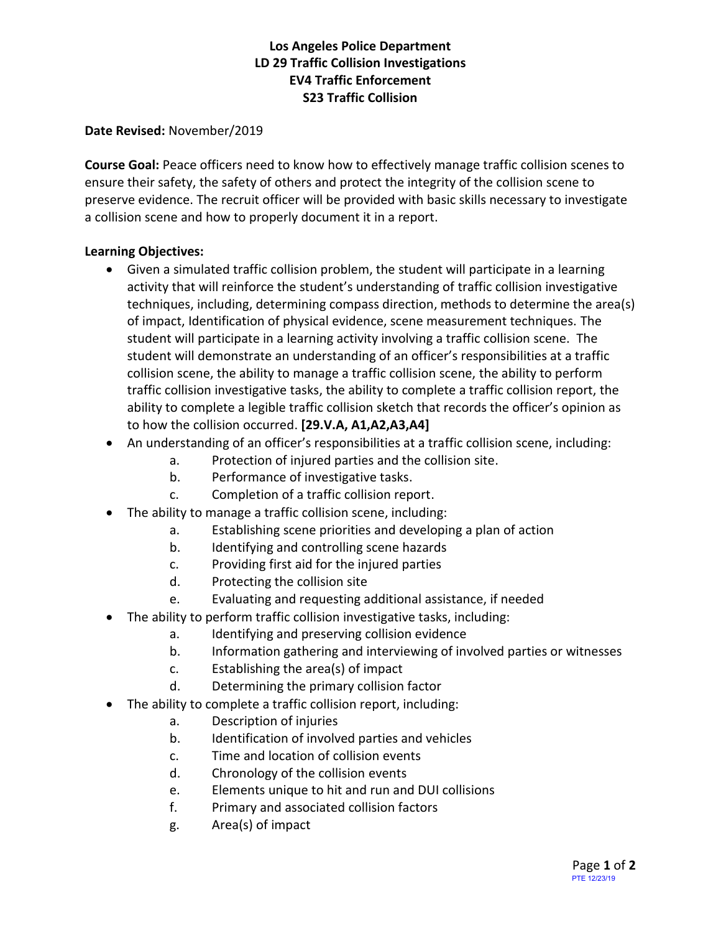# **Los Angeles Police Department LD 29 Traffic Collision Investigations EV4 Traffic Enforcement S23 Traffic Collision**

#### **Date Revised:** November/2019

**Course Goal:** Peace officers need to know how to effectively manage traffic collision scenes to ensure their safety, the safety of others and protect the integrity of the collision scene to preserve evidence. The recruit officer will be provided with basic skills necessary to investigate a collision scene and how to properly document it in a report.

### **Learning Objectives:**

- Given a simulated traffic collision problem, the student will participate in a learning activity that will reinforce the student's understanding of traffic collision investigative techniques, including, determining compass direction, methods to determine the area(s) of impact, Identification of physical evidence, scene measurement techniques. The student will participate in a learning activity involving a traffic collision scene. The student will demonstrate an understanding of an officer's responsibilities at a traffic collision scene, the ability to manage a traffic collision scene, the ability to perform traffic collision investigative tasks, the ability to complete a traffic collision report, the ability to complete a legible traffic collision sketch that records the officer's opinion as to how the collision occurred. **[29.V.A, A1,A2,A3,A4]**
- An understanding of an officer's responsibilities at a traffic collision scene, including:
	- a. Protection of injured parties and the collision site.
		- b. Performance of investigative tasks.
		- c. Completion of a traffic collision report.
- The ability to manage a traffic collision scene, including:
	- a. Establishing scene priorities and developing a plan of action
	- b. Identifying and controlling scene hazards
	- c. Providing first aid for the injured parties
	- d. Protecting the collision site
	- e. Evaluating and requesting additional assistance, if needed
- The ability to perform traffic collision investigative tasks, including:
	- a. Identifying and preserving collision evidence
	- b. Information gathering and interviewing of involved parties or witnesses
	- c. Establishing the area(s) of impact
	- d. Determining the primary collision factor
- The ability to complete a traffic collision report, including:
	- a. Description of injuries
	- b. Identification of involved parties and vehicles
	- c. Time and location of collision events
	- d. Chronology of the collision events
	- e. Elements unique to hit and run and DUI collisions
	- f. Primary and associated collision factors
	- g. Area(s) of impact